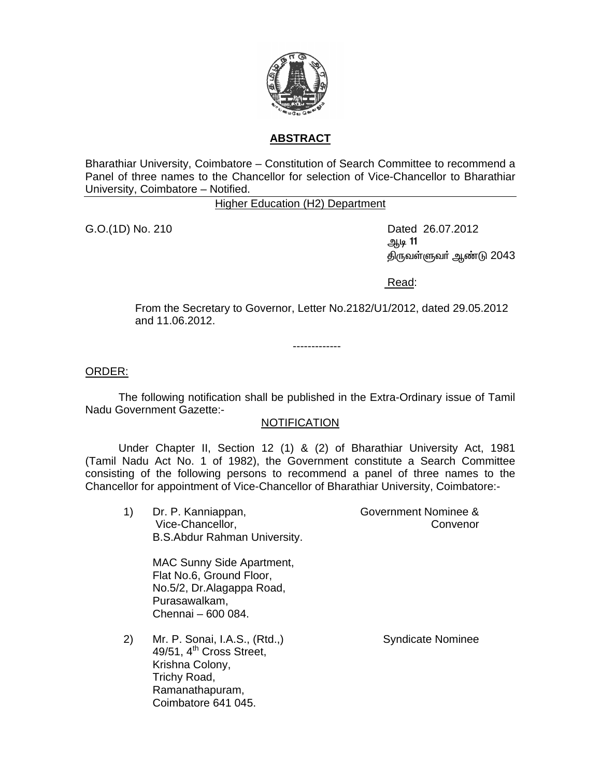

## **ABSTRACT**

Bharathiar University, Coimbatore – Constitution of Search Committee to recommend a Panel of three names to the Chancellor for selection of Vice-Chancellor to Bharathiar University, Coimbatore – Notified.

Higher Education (H2) Department

G.O.(1D) No. 210 **Dated 26.07.2012** 11 ۾اريڪ جي سين سنڌ جي سين سنڌ جي سنڌ جي سنڌ جي سنڌ جي سنڌ جي سنڌ جي سنڌ جي سنڌ جي سنڌ جي سنڌ جي سنڌ جي سنڌ جي திருவள்ளுவர் ஆண்டு 2043

Read:

From the Secretary to Governor, Letter No.2182/U1/2012, dated 29.05.2012 and 11.06.2012.

-------------

ORDER:

 The following notification shall be published in the Extra-Ordinary issue of Tamil Nadu Government Gazette:-

## NOTIFICATION

 Under Chapter II, Section 12 (1) & (2) of Bharathiar University Act, 1981 (Tamil Nadu Act No. 1 of 1982), the Government constitute a Search Committee consisting of the following persons to recommend a panel of three names to the Chancellor for appointment of Vice-Chancellor of Bharathiar University, Coimbatore:-

1) Dr. P. Kanniappan, Vice-Chancellor, B.S.Abdur Rahman University. Government Nominee &

MAC Sunny Side Apartment,

Flat No.6, Ground Floor, No.5/2, Dr.Alagappa Road, Purasawalkam, Chennai – 600 084.

2) Mr. P. Sonai, I.A.S., (Rtd.,)  $49/51$ ,  $4<sup>th</sup>$  Cross Street, Krishna Colony, Trichy Road, Ramanathapuram, Coimbatore 641 045.

Syndicate Nominee

**Convenor**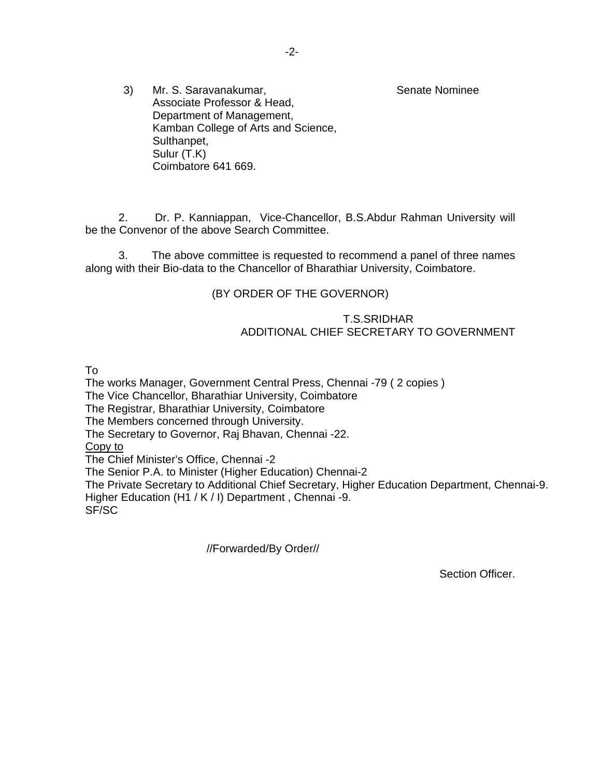Senate Nominee

3) Mr. S. Saravanakumar, Associate Professor & Head, Department of Management, Kamban College of Arts and Science, Sulthanpet, Sulur (T.K) Coimbatore 641 669.

 2. Dr. P. Kanniappan, Vice-Chancellor, B.S.Abdur Rahman University will be the Convenor of the above Search Committee.

 3. The above committee is requested to recommend a panel of three names along with their Bio-data to the Chancellor of Bharathiar University, Coimbatore.

(BY ORDER OF THE GOVERNOR)

## T.S.SRIDHAR ADDITIONAL CHIEF SECRETARY TO GOVERNMENT

To

The works Manager, Government Central Press, Chennai -79 ( 2 copies ) The Vice Chancellor, Bharathiar University, Coimbatore The Registrar, Bharathiar University, Coimbatore The Members concerned through University. The Secretary to Governor, Raj Bhavan, Chennai -22. Copy to The Chief Minister's Office, Chennai -2 The Senior P.A. to Minister (Higher Education) Chennai-2 The Private Secretary to Additional Chief Secretary, Higher Education Department, Chennai-9. Higher Education (H1 / K / I) Department , Chennai -9. SF/SC

//Forwarded/By Order//

Section Officer.